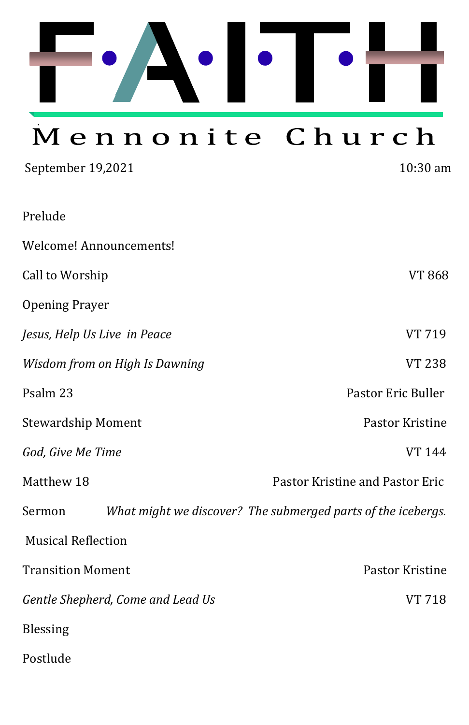

# Mennonite Church

| September 19,2021                 | 10:30 am                                                     |
|-----------------------------------|--------------------------------------------------------------|
| Prelude                           |                                                              |
| Welcome! Announcements!           |                                                              |
| Call to Worship                   | <b>VT 868</b>                                                |
| <b>Opening Prayer</b>             |                                                              |
| Jesus, Help Us Live in Peace      | VT 719                                                       |
| Wisdom from on High Is Dawning    | <b>VT 238</b>                                                |
| Psalm 23                          | Pastor Eric Buller                                           |
| <b>Stewardship Moment</b>         | Pastor Kristine                                              |
| God, Give Me Time                 | <b>VT 144</b>                                                |
| Matthew 18                        | Pastor Kristine and Pastor Eric                              |
| Sermon                            | What might we discover? The submerged parts of the icebergs. |
| <b>Musical Reflection</b>         |                                                              |
| <b>Transition Moment</b>          | <b>Pastor Kristine</b>                                       |
| Gentle Shepherd, Come and Lead Us | <b>VT 718</b>                                                |
| Blessing                          |                                                              |
| Postlude                          |                                                              |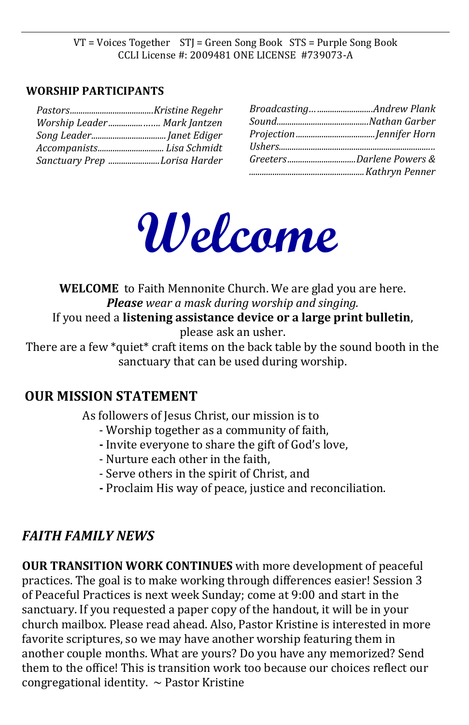VT = Voices Together STJ = Green Song Book STS = Purple Song Book CCLI License #: 2009481 ONE LICENSE #739073-A

#### **WORSHIP PARTICIPANTS**

| Worship Leader Mark Jantzen  |
|------------------------------|
|                              |
|                              |
| Sanctuary Prep Lorisa Harder |

| Broadcasting Andrew Plank |
|---------------------------|
|                           |
|                           |
|                           |
| GreetersDarlene Powers &  |
|                           |



**WELCOME** to Faith Mennonite Church. We are glad you are here. *Please wear a mask during worship and singing.* If you need a **listening assistance device or a large print bulletin**, please ask an usher.

There are a few \*quiet\* craft items on the back table by the sound booth in the sanctuary that can be used during worship.

#### **OUR MISSION STATEMENT**

As followers of Jesus Christ, our mission is to

- Worship together as a community of faith,
- **-** Invite everyone to share the gift of God's love,
- Nurture each other in the faith,
- Serve others in the spirit of Christ, and
- **-** Proclaim His way of peace, justice and reconciliation.

### *FAITH FAMILY NEWS*

**OUR TRANSITION WORK CONTINUES** with more development of peaceful practices. The goal is to make working through differences easier! Session 3 of Peaceful Practices is next week Sunday; come at 9:00 and start in the sanctuary. If you requested a paper copy of the handout, it will be in your church mailbox. Please read ahead. Also, Pastor Kristine is interested in more favorite scriptures, so we may have another worship featuring them in another couple months. What are yours? Do you have any memorized? Send them to the office! This is transition work too because our choices reflect our congregational identity.  $\sim$  Pastor Kristine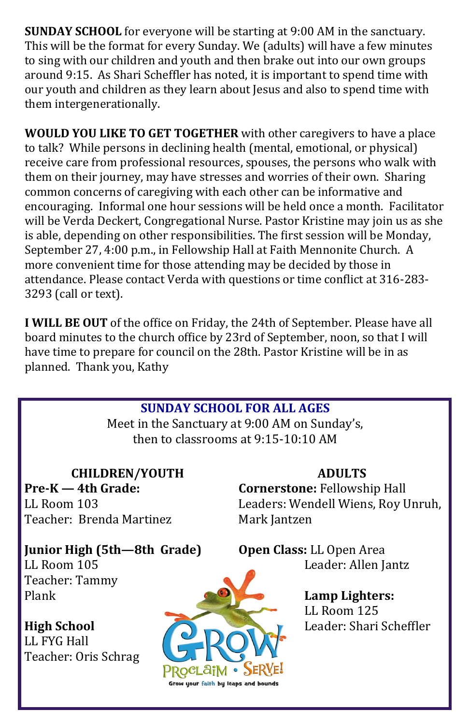**SUNDAY SCHOOL** for everyone will be starting at 9:00 AM in the sanctuary. This will be the format for every Sunday. We (adults) will have a few minutes to sing with our children and youth and then brake out into our own groups around 9:15. As Shari Scheffler has noted, it is important to spend time with our youth and children as they learn about Jesus and also to spend time with them intergenerationally.

**WOULD YOU LIKE TO GET TOGETHER** with other caregivers to have a place to talk? While persons in declining health (mental, emotional, or physical) receive care from professional resources, spouses, the persons who walk with them on their journey, may have stresses and worries of their own. Sharing common concerns of caregiving with each other can be informative and encouraging. Informal one hour sessions will be held once a month. Facilitator will be Verda Deckert, Congregational Nurse. Pastor Kristine may join us as she is able, depending on other responsibilities. The first session will be Monday, September 27, 4:00 p.m., in Fellowship Hall at Faith Mennonite Church. A more convenient time for those attending may be decided by those in attendance. Please contact Verda with questions or time conflict at 316-283- 3293 (call or text).

**I WILL BE OUT** of the office on Friday, the 24th of September. Please have all board minutes to the church office by 23rd of September, noon, so that I will have time to prepare for council on the 28th. Pastor Kristine will be in as planned. Thank you, Kathy

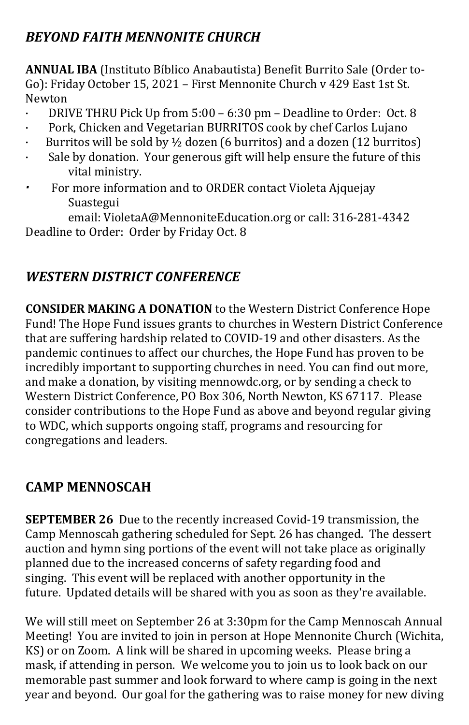# *BEYOND FAITH MENNONITE CHURCH*

ANNUAL IBA (Instituto Bíblico Anabautista) Benefit Burrito Sale (Order to-Go): Friday October 15, 2021 – First Mennonite Church v 429 East 1st St. Newton

- · DRIVE THRU Pick Up from 5:00 6:30 pm Deadline to Order: Oct. 8
- · Pork, Chicken and Vegetarian BURRITOS cook by chef Carlos Lujano
- Burritos will be sold by  $\frac{1}{2}$  dozen (6 burritos) and a dozen (12 burritos)
- · Sale by donation. Your generous gift will help ensure the future of this vital ministry.
- *·* For more information and to ORDER contact Violeta Ajquejay Suastegui

email: VioletaA@MennoniteEducation.org or call: 316-281-4342 Deadline to Order: Order by Friday Oct. 8

# *WESTERN DISTRICT CONFERENCE*

**CONSIDER MAKING A DONATION** to the Western District Conference Hope Fund! The Hope Fund issues grants to churches in Western District Conference that are suffering hardship related to COVID-19 and other disasters. As the pandemic continues to affect our churches, the Hope Fund has proven to be incredibly important to supporting churches in need. You can find out more, and make a donation, by visiting mennowdc.org, or by sending a check to Western District Conference, PO Box 306, North Newton, KS 67117. Please consider contributions to the Hope Fund as above and beyond regular giving to WDC, which supports ongoing staff, programs and resourcing for congregations and leaders.

## **CAMP MENNOSCAH**

**SEPTEMBER 26** Due to the recently increased Covid-19 transmission, the Camp Mennoscah gathering scheduled for Sept. 26 has changed. The dessert auction and hymn sing portions of the event will not take place as originally planned due to the increased concerns of safety regarding food and singing. This event will be replaced with another opportunity in the future. Updated details will be shared with you as soon as they're available.

We will still meet on September 26 at 3:30pm for the Camp Mennoscah Annual Meeting! You are invited to join in person at Hope Mennonite Church (Wichita, KS) or on Zoom. A link will be shared in upcoming weeks. Please bring a mask, if attending in person. We welcome you to join us to look back on our memorable past summer and look forward to where camp is going in the next year and beyond. Our goal for the gathering was to raise money for new diving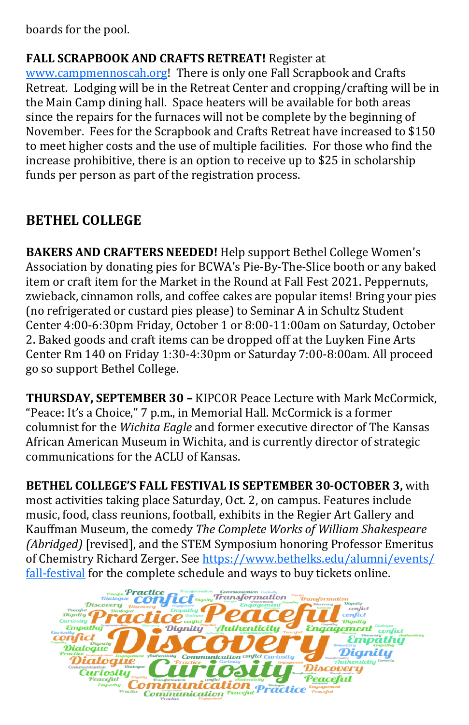boards for the pool.

**FALL SCRAPBOOK AND CRAFTS RETREAT!** Register at [www.campmennoscah.org!](http://www.campmennoscah.org/) There is only one Fall Scrapbook and Crafts Retreat. Lodging will be in the Retreat Center and cropping/crafting will be in the Main Camp dining hall. Space heaters will be available for both areas since the repairs for the furnaces will not be complete by the beginning of November. Fees for the Scrapbook and Crafts Retreat have increased to \$150 to meet higher costs and the use of multiple facilities. For those who find the increase prohibitive, there is an option to receive up to \$25 in scholarship funds per person as part of the registration process.

# **BETHEL COLLEGE**

**BAKERS AND CRAFTERS NEEDED!** Help support Bethel College Women's Association by donating pies for BCWA's Pie-By-The-Slice booth or any baked item or craft item for the Market in the Round at Fall Fest 2021. Peppernuts, zwieback, cinnamon rolls, and coffee cakes are popular items! Bring your pies (no refrigerated or custard pies please) to Seminar A in Schultz Student Center 4:00-6:30pm Friday, October 1 or 8:00-11:00am on Saturday, October 2. Baked goods and craft items can be dropped off at the Luyken Fine Arts Center Rm 140 on Friday 1:30-4:30pm or Saturday 7:00-8:00am. All proceed go so support Bethel College.

**THURSDAY, SEPTEMBER 30 –** KIPCOR Peace Lecture with Mark McCormick, "Peace: It's a Choice," 7 p.m., in Memorial Hall. McCormick is a former columnist for the *Wichita Eagle* and former executive director of The Kansas African American Museum in Wichita, and is currently director of strategic communications for the ACLU of Kansas.

**BETHEL COLLEGE'S FALL FESTIVAL IS SEPTEMBER 30-OCTOBER 3,** with most activities taking place Saturday, Oct. 2, on campus. Features include music, food, class reunions, football, exhibits in the Regier Art Gallery and Kauffman Museum, the comedy *The Complete Works of William Shakespeare (Abridged)* [revised], and the STEM Symposium honoring Professor Emeritus of Chemistry Richard Zerger. See [https://www.bethelks.edu/alumni/events/](https://www.bethelks.edu/alumni/events/fall-festival) fall-[festival](https://www.bethelks.edu/alumni/events/fall-festival) for the complete schedule and ways to buy tickets online.